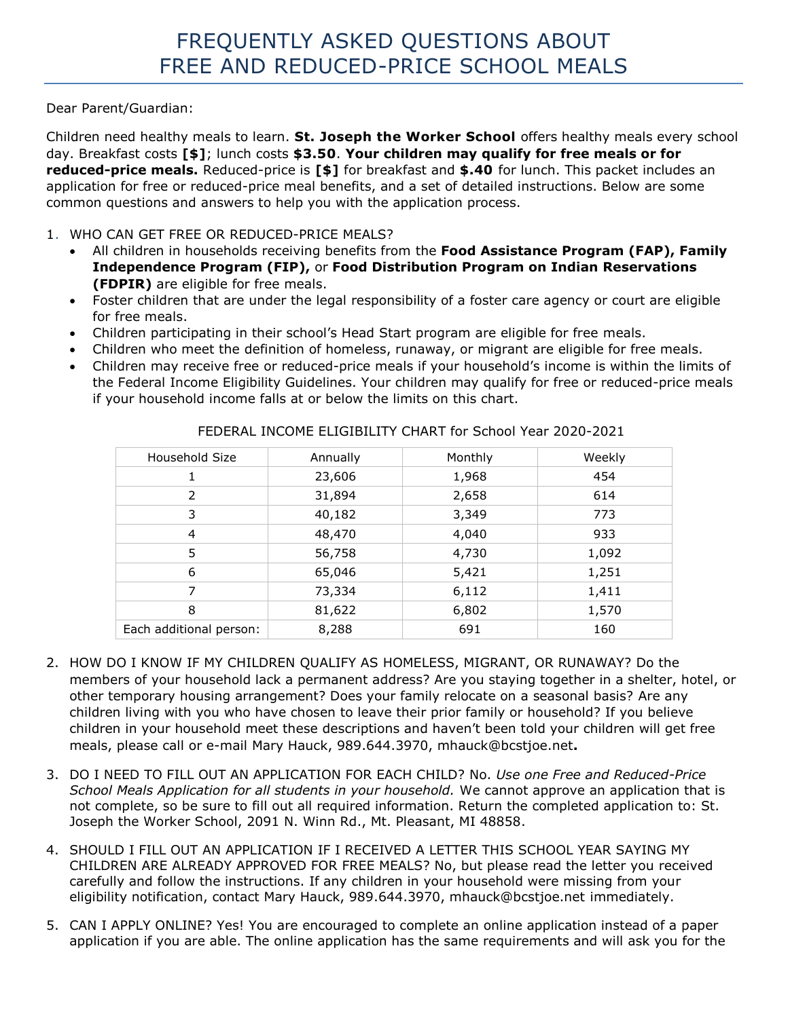Dear Parent/Guardian:

Children need healthy meals to learn. **St. Joseph the Worker School** offers healthy meals every school day. Breakfast costs **[\$]**; lunch costs **\$3.50**. **Your children may qualify for free meals or for reduced-price meals.** Reduced-price is **[\$]** for breakfast and **\$.40** for lunch. This packet includes an application for free or reduced-price meal benefits, and a set of detailed instructions. Below are some common questions and answers to help you with the application process.

## 1. WHO CAN GET FREE OR REDUCED-PRICE MEALS?

- All children in households receiving benefits from the **Food Assistance Program (FAP), Family Independence Program (FIP),** or **Food Distribution Program on Indian Reservations (FDPIR)** are eligible for free meals.
- Foster children that are under the legal responsibility of a foster care agency or court are eligible for free meals.
- Children participating in their school's Head Start program are eligible for free meals.
- Children who meet the definition of homeless, runaway, or migrant are eligible for free meals.
- Children may receive free or reduced-price meals if your household's income is within the limits of the Federal Income Eligibility Guidelines. Your children may qualify for free or reduced-price meals if your household income falls at or below the limits on this chart.

| Household Size          | Annually | Monthly | Weekly |
|-------------------------|----------|---------|--------|
| 1                       | 23,606   | 1,968   | 454    |
| $\overline{2}$          | 31,894   | 2,658   | 614    |
| 3                       | 40,182   | 3,349   | 773    |
| 4                       | 48,470   | 4,040   | 933    |
| 5                       | 56,758   | 4,730   | 1,092  |
| 6                       | 65,046   | 5,421   | 1,251  |
| 7                       | 73,334   | 6,112   | 1,411  |
| 8                       | 81,622   | 6,802   | 1,570  |
| Each additional person: | 8,288    | 691     | 160    |

FEDERAL INCOME ELIGIBILITY CHART for School Year 2020-2021

- 2. HOW DO I KNOW IF MY CHILDREN QUALIFY AS HOMELESS, MIGRANT, OR RUNAWAY? Do the members of your household lack a permanent address? Are you staying together in a shelter, hotel, or other temporary housing arrangement? Does your family relocate on a seasonal basis? Are any children living with you who have chosen to leave their prior family or household? If you believe children in your household meet these descriptions and haven't been told your children will get free meals, please call or e-mail Mary Hauck, 989.644.3970, mhauck@bcstjoe.net**.**
- 3. DO I NEED TO FILL OUT AN APPLICATION FOR EACH CHILD? No. *Use one Free and Reduced-Price School Meals Application for all students in your household.* We cannot approve an application that is not complete, so be sure to fill out all required information. Return the completed application to: St. Joseph the Worker School, 2091 N. Winn Rd., Mt. Pleasant, MI 48858.
- 4. SHOULD I FILL OUT AN APPLICATION IF I RECEIVED A LETTER THIS SCHOOL YEAR SAYING MY CHILDREN ARE ALREADY APPROVED FOR FREE MEALS? No, but please read the letter you received carefully and follow the instructions. If any children in your household were missing from your eligibility notification, contact Mary Hauck, 989.644.3970, mhauck@bcstjoe.net immediately.
- 5. CAN I APPLY ONLINE? Yes! You are encouraged to complete an online application instead of a paper application if you are able. The online application has the same requirements and will ask you for the